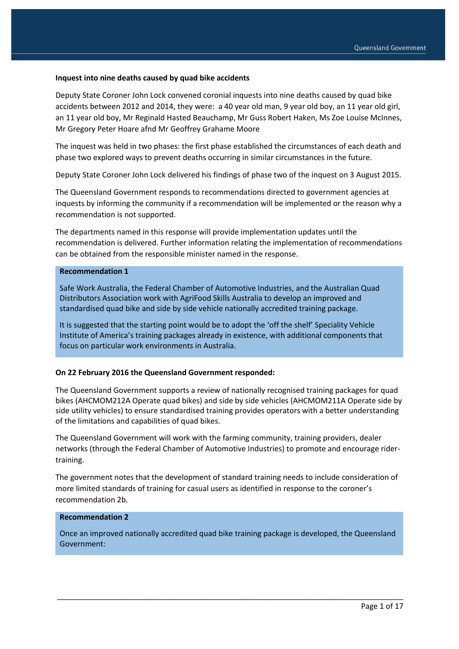#### **Inquest into nine deaths caused by quad bike accidents**

Deputy State Coroner John Lock convened coronial inquests into nine deaths caused by quad bike accidents between 2012 and 2014, they were: a 40 year old man, 9 year old boy, an 11 year old girl, an 11 year old boy, Mr Reginald Hasted Beauchamp, Mr Guss Robert Haken, Ms Zoe Louise McInnes, Mr Gregory Peter Hoare afnd Mr Geoffrey Grahame Moore

The inquest was held in two phases: the first phase established the circumstances of each death and phase two explored ways to prevent deaths occurring in similar circumstances in the future.

Deputy State Coroner John Lock delivered his findings of phase two of the inquest on 3 August 2015.

The Queensland Government responds to recommendations directed to government agencies at inquests by informing the community if a recommendation will be implemented or the reason why a recommendation is not supported.

The departments named in this response will provide implementation updates until the recommendation is delivered. Further information relating the implementation of recommendations can be obtained from the responsible minister named in the response.

#### **Recommendation 1**

Safe Work Australia, the Federal Chamber of Automotive Industries, and the Australian Quad Distributors Association work with AgriFood Skills Australia to develop an improved and standardised quad bike and side by side vehicle nationally accredited training package.

It is suggested that the starting point would be to adopt the 'off the shelf' Speciality Vehicle Institute of America's training packages already in existence, with additional components that focus on particular work environments in Australia.

#### **On 22 February 2016 the Queensland Government responded:**

The Queensland Government supports a review of nationally recognised training packages for quad bikes (AHCMOM212A Operate quad bikes) and side by side vehicles (AHCMOM211A Operate side by side utility vehicles) to ensure standardised training provides operators with a better understanding of the limitations and capabilities of quad bikes.

The Queensland Government will work with the farming community, training providers, dealer networks (through the Federal Chamber of Automotive Industries) to promote and encourage ridertraining.

The government notes that the development of standard training needs to include consideration of more limited standards of training for casual users as identified in response to the coroner's recommendation 2b.

#### **Recommendation 2**

Once an improved nationally accredited quad bike training package is developed, the Queensland Government: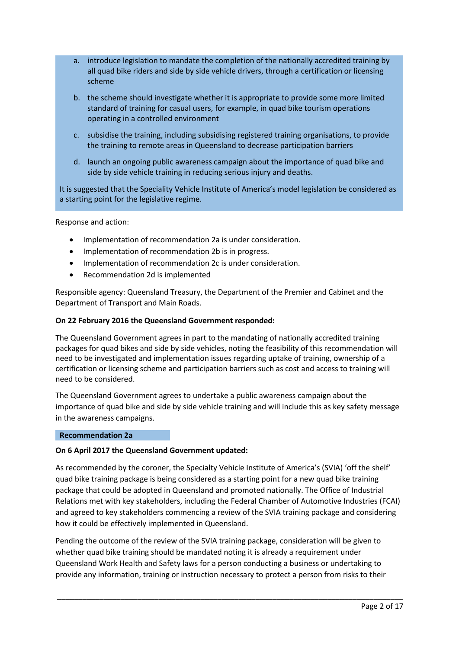- a. introduce legislation to mandate the completion of the nationally accredited training by all quad bike riders and side by side vehicle drivers, through a certification or licensing scheme
- b. the scheme should investigate whether it is appropriate to provide some more limited standard of training for casual users, for example, in quad bike tourism operations operating in a controlled environment
- c. subsidise the training, including subsidising registered training organisations, to provide the training to remote areas in Queensland to decrease participation barriers
- d. launch an ongoing public awareness campaign about the importance of quad bike and side by side vehicle training in reducing serious injury and deaths.

It is suggested that the Speciality Vehicle Institute of America's model legislation be considered as a starting point for the legislative regime.

Response and action:

- Implementation of recommendation 2a is under consideration.
- Implementation of recommendation 2b is in progress.
- Implementation of recommendation 2c is under consideration.
- Recommendation 2d is implemented

Responsible agency: Queensland Treasury, the Department of the Premier and Cabinet and the Department of Transport and Main Roads.

### **On 22 February 2016 the Queensland Government responded:**

The Queensland Government agrees in part to the mandating of nationally accredited training packages for quad bikes and side by side vehicles, noting the feasibility of this recommendation will need to be investigated and implementation issues regarding uptake of training, ownership of a certification or licensing scheme and participation barriers such as cost and access to training will need to be considered.

The Queensland Government agrees to undertake a public awareness campaign about the importance of quad bike and side by side vehicle training and will include this as key safety message in the awareness campaigns.

### **Recommendation 2a**

### **On 6 April 2017 the Queensland Government updated:**

As recommended by the coroner, the Specialty Vehicle Institute of America's (SVIA) 'off the shelf' quad bike training package is being considered as a starting point for a new quad bike training package that could be adopted in Queensland and promoted nationally. The Office of Industrial Relations met with key stakeholders, including the Federal Chamber of Automotive Industries (FCAI) and agreed to key stakeholders commencing a review of the SVIA training package and considering how it could be effectively implemented in Queensland.

Pending the outcome of the review of the SVIA training package, consideration will be given to whether quad bike training should be mandated noting it is already a requirement under Queensland Work Health and Safety laws for a person conducting a business or undertaking to provide any information, training or instruction necessary to protect a person from risks to their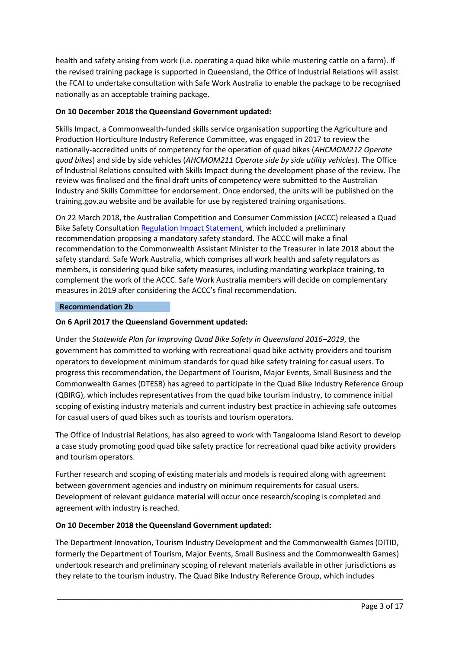health and safety arising from work (i.e. operating a quad bike while mustering cattle on a farm). If the revised training package is supported in Queensland, the Office of Industrial Relations will assist the FCAI to undertake consultation with Safe Work Australia to enable the package to be recognised nationally as an acceptable training package.

# **On 10 December 2018 the Queensland Government updated:**

Skills Impact, a Commonwealth-funded skills service organisation supporting the Agriculture and Production Horticulture Industry Reference Committee, was engaged in 2017 to review the nationally-accredited units of competency for the operation of quad bikes (*AHCMOM212 Operate quad bikes*) and side by side vehicles (*AHCMOM211 Operate side by side utility vehicles*). The Office of Industrial Relations consulted with Skills Impact during the development phase of the review. The review was finalised and the final draft units of competency were submitted to the Australian Industry and Skills Committee for endorsement. Once endorsed, the units will be published on the training.gov.au website and be available for use by registered training organisations.

On 22 March 2018, the Australian Competition and Consumer Commission (ACCC) released a Quad Bike Safety Consultation [Regulation Impact Statement,](https://consultation.accc.gov.au/product-safety/quad-bike-safety-draft-regulation-impact-statement/) which included a preliminary recommendation proposing a mandatory safety standard. The ACCC will make a final recommendation to the Commonwealth Assistant Minister to the Treasurer in late 2018 about the safety standard. Safe Work Australia, which comprises all work health and safety regulators as members, is considering quad bike safety measures, including mandating workplace training, to complement the work of the ACCC. Safe Work Australia members will decide on complementary measures in 2019 after considering the ACCC's final recommendation.

## **Recommendation 2b**

## **On 6 April 2017 the Queensland Government updated:**

Under the *Statewide Plan for Improving Quad Bike Safety in Queensland 2016–2019*, the government has committed to working with recreational quad bike activity providers and tourism operators to development minimum standards for quad bike safety training for casual users. To progress this recommendation, the Department of Tourism, Major Events, Small Business and the Commonwealth Games (DTESB) has agreed to participate in the Quad Bike Industry Reference Group (QBIRG), which includes representatives from the quad bike tourism industry, to commence initial scoping of existing industry materials and current industry best practice in achieving safe outcomes for casual users of quad bikes such as tourists and tourism operators.

The Office of Industrial Relations, has also agreed to work with Tangalooma Island Resort to develop a case study promoting good quad bike safety practice for recreational quad bike activity providers and tourism operators.

Further research and scoping of existing materials and models is required along with agreement between government agencies and industry on minimum requirements for casual users. Development of relevant guidance material will occur once research/scoping is completed and agreement with industry is reached.

## **On 10 December 2018 the Queensland Government updated:**

The Department Innovation, Tourism Industry Development and the Commonwealth Games (DITID, formerly the Department of Tourism, Major Events, Small Business and the Commonwealth Games) undertook research and preliminary scoping of relevant materials available in other jurisdictions as they relate to the tourism industry. The Quad Bike Industry Reference Group, which includes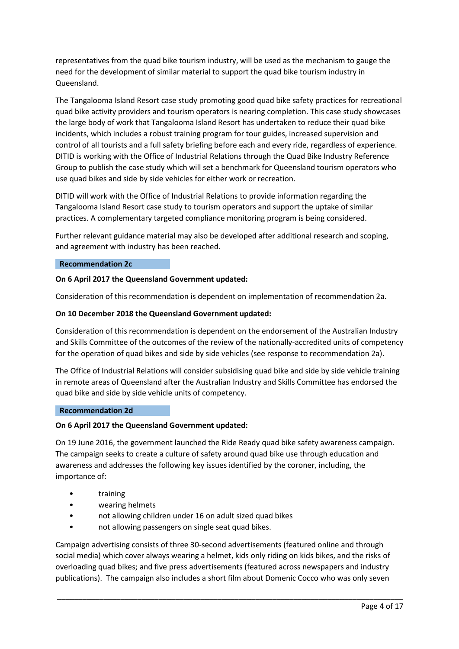representatives from the quad bike tourism industry, will be used as the mechanism to gauge the need for the development of similar material to support the quad bike tourism industry in Queensland.

The Tangalooma Island Resort case study promoting good quad bike safety practices for recreational quad bike activity providers and tourism operators is nearing completion. This case study showcases the large body of work that Tangalooma Island Resort has undertaken to reduce their quad bike incidents, which includes a robust training program for tour guides, increased supervision and control of all tourists and a full safety briefing before each and every ride, regardless of experience. DITID is working with the Office of Industrial Relations through the Quad Bike Industry Reference Group to publish the case study which will set a benchmark for Queensland tourism operators who use quad bikes and side by side vehicles for either work or recreation.

DITID will work with the Office of Industrial Relations to provide information regarding the Tangalooma Island Resort case study to tourism operators and support the uptake of similar practices. A complementary targeted compliance monitoring program is being considered.

Further relevant guidance material may also be developed after additional research and scoping, and agreement with industry has been reached.

### **Recommendation 2c**

### **On 6 April 2017 the Queensland Government updated:**

Consideration of this recommendation is dependent on implementation of recommendation 2a.

#### **On 10 December 2018 the Queensland Government updated:**

Consideration of this recommendation is dependent on the endorsement of the Australian Industry and Skills Committee of the outcomes of the review of the nationally-accredited units of competency for the operation of quad bikes and side by side vehicles (see response to recommendation 2a).

The Office of Industrial Relations will consider subsidising quad bike and side by side vehicle training in remote areas of Queensland after the Australian Industry and Skills Committee has endorsed the quad bike and side by side vehicle units of competency.

#### **Recommendation 2d**

### **On 6 April 2017 the Queensland Government updated:**

On 19 June 2016, the government launched the Ride Ready quad bike safety awareness campaign. The campaign seeks to create a culture of safety around quad bike use through education and awareness and addresses the following key issues identified by the coroner, including, the importance of:

- training
- wearing helmets
- not allowing children under 16 on adult sized quad bikes
- not allowing passengers on single seat quad bikes.

Campaign advertising consists of three 30-second advertisements (featured online and through social media) which cover always wearing a helmet, kids only riding on kids bikes, and the risks of overloading quad bikes; and five press advertisements (featured across newspapers and industry publications). The campaign also includes a short film about Domenic Cocco who was only seven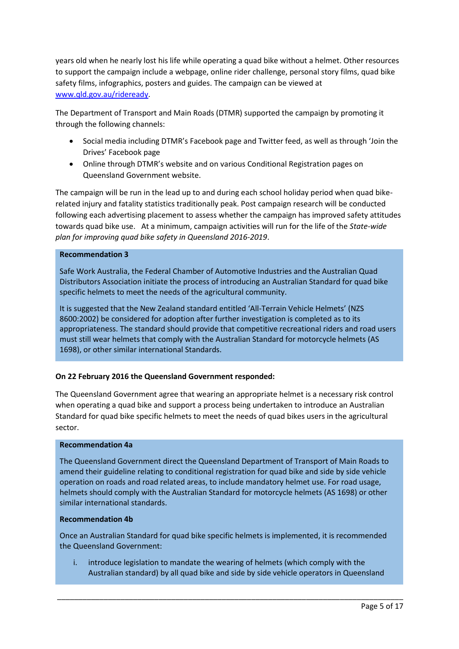years old when he nearly lost his life while operating a quad bike without a helmet. Other resources to support the campaign include a webpage, online rider challenge, personal story films, quad bike safety films, infographics, posters and guides. The campaign can be viewed at [www.qld.gov.au/rideready.](http://www.qld.gov.au/rideready)

The Department of Transport and Main Roads (DTMR) supported the campaign by promoting it through the following channels:

- Social media including DTMR's Facebook page and Twitter feed, as well as through 'Join the Drives' Facebook page
- Online through DTMR's website and on various Conditional Registration pages on Queensland Government website.

The campaign will be run in the lead up to and during each school holiday period when quad bikerelated injury and fatality statistics traditionally peak. Post campaign research will be conducted following each advertising placement to assess whether the campaign has improved safety attitudes towards quad bike use. At a minimum, campaign activities will run for the life of the *State-wide plan for improving quad bike safety in Queensland 2016-2019*.

### **Recommendation 3**

Safe Work Australia, the Federal Chamber of Automotive Industries and the Australian Quad Distributors Association initiate the process of introducing an Australian Standard for quad bike specific helmets to meet the needs of the agricultural community.

It is suggested that the New Zealand standard entitled 'All-Terrain Vehicle Helmets' (NZS 8600:2002) be considered for adoption after further investigation is completed as to its appropriateness. The standard should provide that competitive recreational riders and road users must still wear helmets that comply with the Australian Standard for motorcycle helmets (AS 1698), or other similar international Standards.

## **On 22 February 2016 the Queensland Government responded:**

The Queensland Government agree that wearing an appropriate helmet is a necessary risk control when operating a quad bike and support a process being undertaken to introduce an Australian Standard for quad bike specific helmets to meet the needs of quad bikes users in the agricultural sector.

### **Recommendation 4a**

The Queensland Government direct the Queensland Department of Transport of Main Roads to amend their guideline relating to conditional registration for quad bike and side by side vehicle operation on roads and road related areas, to include mandatory helmet use. For road usage, helmets should comply with the Australian Standard for motorcycle helmets (AS 1698) or other similar international standards.

### **Recommendation 4b**

Once an Australian Standard for quad bike specific helmets is implemented, it is recommended the Queensland Government:

i. introduce legislation to mandate the wearing of helmets (which comply with the Australian standard) by all quad bike and side by side vehicle operators in Queensland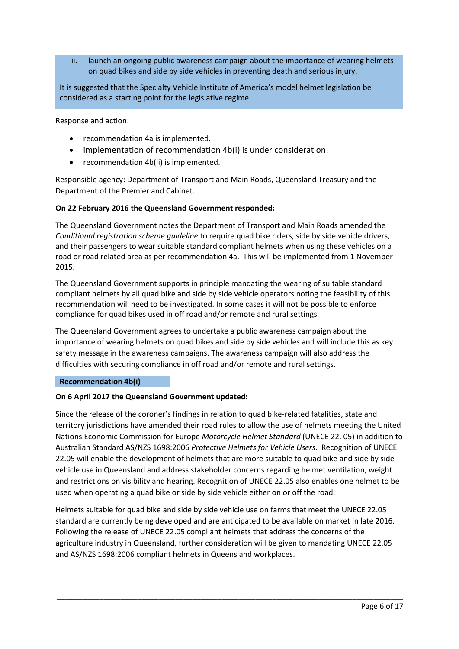ii. launch an ongoing public awareness campaign about the importance of wearing helmets on quad bikes and side by side vehicles in preventing death and serious injury.

It is suggested that the Specialty Vehicle Institute of America's model helmet legislation be considered as a starting point for the legislative regime.

Response and action:

- recommendation 4a is implemented.
- implementation of recommendation 4b(i) is under consideration.
- recommendation 4b(ii) is implemented.

Responsible agency: Department of Transport and Main Roads, Queensland Treasury and the Department of the Premier and Cabinet.

### **On 22 February 2016 the Queensland Government responded:**

The Queensland Government notes the Department of Transport and Main Roads amended the *Conditional registration scheme guideline* to require quad bike riders, side by side vehicle drivers, and their passengers to wear suitable standard compliant helmets when using these vehicles on a road or road related area as per recommendation 4a. This will be implemented from 1 November 2015.

The Queensland Government supports in principle mandating the wearing of suitable standard compliant helmets by all quad bike and side by side vehicle operators noting the feasibility of this recommendation will need to be investigated. In some cases it will not be possible to enforce compliance for quad bikes used in off road and/or remote and rural settings.

The Queensland Government agrees to undertake a public awareness campaign about the importance of wearing helmets on quad bikes and side by side vehicles and will include this as key safety message in the awareness campaigns. The awareness campaign will also address the difficulties with securing compliance in off road and/or remote and rural settings.

### **Recommendation 4b(i)**

### **On 6 April 2017 the Queensland Government updated:**

Since the release of the coroner's findings in relation to quad bike-related fatalities, state and territory jurisdictions have amended their road rules to allow the use of helmets meeting the United Nations Economic Commission for Europe *Motorcycle Helmet Standard* (UNECE 22. 05) in addition to Australian Standard AS/NZS 1698:2006 *Protective Helmets for Vehicle Users*. Recognition of UNECE 22.05 will enable the development of helmets that are more suitable to quad bike and side by side vehicle use in Queensland and address stakeholder concerns regarding helmet ventilation, weight and restrictions on visibility and hearing. Recognition of UNECE 22.05 also enables one helmet to be used when operating a quad bike or side by side vehicle either on or off the road.

Helmets suitable for quad bike and side by side vehicle use on farms that meet the UNECE 22.05 standard are currently being developed and are anticipated to be available on market in late 2016. Following the release of UNECE 22.05 compliant helmets that address the concerns of the agriculture industry in Queensland, further consideration will be given to mandating UNECE 22.05 and AS/NZS 1698:2006 compliant helmets in Queensland workplaces.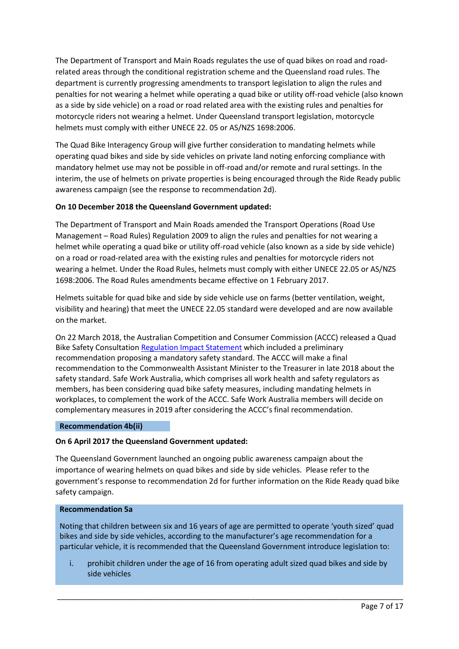The Department of Transport and Main Roads regulates the use of quad bikes on road and roadrelated areas through the conditional registration scheme and the Queensland road rules. The department is currently progressing amendments to transport legislation to align the rules and penalties for not wearing a helmet while operating a quad bike or utility off-road vehicle (also known as a side by side vehicle) on a road or road related area with the existing rules and penalties for motorcycle riders not wearing a helmet. Under Queensland transport legislation, motorcycle helmets must comply with either UNECE 22. 05 or AS/NZS 1698:2006.

The Quad Bike Interagency Group will give further consideration to mandating helmets while operating quad bikes and side by side vehicles on private land noting enforcing compliance with mandatory helmet use may not be possible in off-road and/or remote and rural settings. In the interim, the use of helmets on private properties is being encouraged through the Ride Ready public awareness campaign (see the response to recommendation 2d).

## **On 10 December 2018 the Queensland Government updated:**

The Department of Transport and Main Roads amended the Transport Operations (Road Use Management – Road Rules) Regulation 2009 to align the rules and penalties for not wearing a helmet while operating a quad bike or utility off-road vehicle (also known as a side by side vehicle) on a road or road-related area with the existing rules and penalties for motorcycle riders not wearing a helmet. Under the Road Rules, helmets must comply with either UNECE 22.05 or AS/NZS 1698:2006. The Road Rules amendments became effective on 1 February 2017.

Helmets suitable for quad bike and side by side vehicle use on farms (better ventilation, weight, visibility and hearing) that meet the UNECE 22.05 standard were developed and are now available on the market.

On 22 March 2018, the Australian Competition and Consumer Commission (ACCC) released a Quad Bike Safety Consultation [Regulation Impact Statement](https://consultation.accc.gov.au/product-safety/quad-bike-safety-draft-regulation-impact-statement/) which included a preliminary recommendation proposing a mandatory safety standard. The ACCC will make a final recommendation to the Commonwealth Assistant Minister to the Treasurer in late 2018 about the safety standard. Safe Work Australia, which comprises all work health and safety regulators as members, has been considering quad bike safety measures, including mandating helmets in workplaces, to complement the work of the ACCC. Safe Work Australia members will decide on complementary measures in 2019 after considering the ACCC's final recommendation.

### **Recommendation 4b(ii)**

### **On 6 April 2017 the Queensland Government updated:**

The Queensland Government launched an ongoing public awareness campaign about the importance of wearing helmets on quad bikes and side by side vehicles. Please refer to the government's response to recommendation 2d for further information on the Ride Ready quad bike safety campaign.

### **Recommendation 5a**

Noting that children between six and 16 years of age are permitted to operate 'youth sized' quad bikes and side by side vehicles, according to the manufacturer's age recommendation for a particular vehicle, it is recommended that the Queensland Government introduce legislation to:

i. prohibit children under the age of 16 from operating adult sized quad bikes and side by side vehicles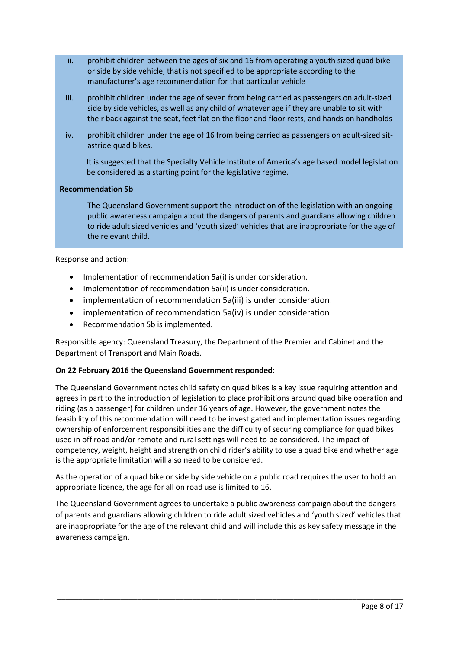- ii. prohibit children between the ages of six and 16 from operating a youth sized quad bike or side by side vehicle, that is not specified to be appropriate according to the manufacturer's age recommendation for that particular vehicle
- iii. prohibit children under the age of seven from being carried as passengers on adult-sized side by side vehicles, as well as any child of whatever age if they are unable to sit with their back against the seat, feet flat on the floor and floor rests, and hands on handholds
- iv. prohibit children under the age of 16 from being carried as passengers on adult-sized sitastride quad bikes.

 It is suggested that the Specialty Vehicle Institute of America's age based model legislation be considered as a starting point for the legislative regime.

## **Recommendation 5b**

The Queensland Government support the introduction of the legislation with an ongoing public awareness campaign about the dangers of parents and guardians allowing children to ride adult sized vehicles and 'youth sized' vehicles that are inappropriate for the age of the relevant child.

Response and action:

- Implementation of recommendation 5a(i) is under consideration.
- Implementation of recommendation 5a(ii) is under consideration.
- implementation of recommendation 5a(iii) is under consideration.
- implementation of recommendation 5a(iv) is under consideration.
- Recommendation 5b is implemented.

Responsible agency: Queensland Treasury, the Department of the Premier and Cabinet and the Department of Transport and Main Roads.

## **On 22 February 2016 the Queensland Government responded:**

The Queensland Government notes child safety on quad bikes is a key issue requiring attention and agrees in part to the introduction of legislation to place prohibitions around quad bike operation and riding (as a passenger) for children under 16 years of age. However, the government notes the feasibility of this recommendation will need to be investigated and implementation issues regarding ownership of enforcement responsibilities and the difficulty of securing compliance for quad bikes used in off road and/or remote and rural settings will need to be considered. The impact of competency, weight, height and strength on child rider's ability to use a quad bike and whether age is the appropriate limitation will also need to be considered.

As the operation of a quad bike or side by side vehicle on a public road requires the user to hold an appropriate licence, the age for all on road use is limited to 16.

The Queensland Government agrees to undertake a public awareness campaign about the dangers of parents and guardians allowing children to ride adult sized vehicles and 'youth sized' vehicles that are inappropriate for the age of the relevant child and will include this as key safety message in the awareness campaign.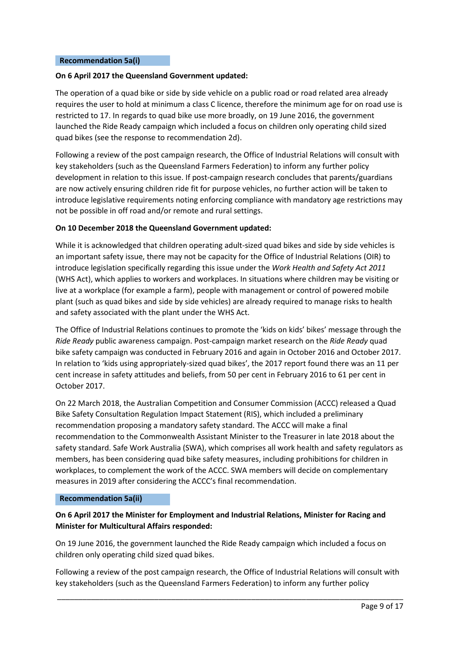#### **Recommendation 5a(i)**

### **On 6 April 2017 the Queensland Government updated:**

The operation of a quad bike or side by side vehicle on a public road or road related area already requires the user to hold at minimum a class C licence, therefore the minimum age for on road use is restricted to 17. In regards to quad bike use more broadly, on 19 June 2016, the government launched the Ride Ready campaign which included a focus on children only operating child sized quad bikes (see the response to recommendation 2d).

Following a review of the post campaign research, the Office of Industrial Relations will consult with key stakeholders (such as the Queensland Farmers Federation) to inform any further policy development in relation to this issue. If post-campaign research concludes that parents/guardians are now actively ensuring children ride fit for purpose vehicles, no further action will be taken to introduce legislative requirements noting enforcing compliance with mandatory age restrictions may not be possible in off road and/or remote and rural settings.

### **On 10 December 2018 the Queensland Government updated:**

While it is acknowledged that children operating adult-sized quad bikes and side by side vehicles is an important safety issue, there may not be capacity for the Office of Industrial Relations (OIR) to introduce legislation specifically regarding this issue under the *Work Health and Safety Act 2011* (WHS Act), which applies to workers and workplaces. In situations where children may be visiting or live at a workplace (for example a farm), people with management or control of powered mobile plant (such as quad bikes and side by side vehicles) are already required to manage risks to health and safety associated with the plant under the WHS Act.

The Office of Industrial Relations continues to promote the 'kids on kids' bikes' message through the *Ride Ready* public awareness campaign. Post-campaign market research on the *Ride Ready* quad bike safety campaign was conducted in February 2016 and again in October 2016 and October 2017. In relation to 'kids using appropriately-sized quad bikes', the 2017 report found there was an 11 per cent increase in safety attitudes and beliefs, from 50 per cent in February 2016 to 61 per cent in October 2017.

On 22 March 2018, the Australian Competition and Consumer Commission (ACCC) released a Quad Bike Safety Consultation Regulation Impact Statement (RIS), which included a preliminary recommendation proposing a mandatory safety standard. The ACCC will make a final recommendation to the Commonwealth Assistant Minister to the Treasurer in late 2018 about the safety standard. Safe Work Australia (SWA), which comprises all work health and safety regulators as members, has been considering quad bike safety measures, including prohibitions for children in workplaces, to complement the work of the ACCC. SWA members will decide on complementary measures in 2019 after considering the ACCC's final recommendation.

### **Recommendation 5a(ii)**

# **On 6 April 2017 the Minister for Employment and Industrial Relations, Minister for Racing and Minister for Multicultural Affairs responded:**

On 19 June 2016, the government launched the Ride Ready campaign which included a focus on children only operating child sized quad bikes.

Following a review of the post campaign research, the Office of Industrial Relations will consult with key stakeholders (such as the Queensland Farmers Federation) to inform any further policy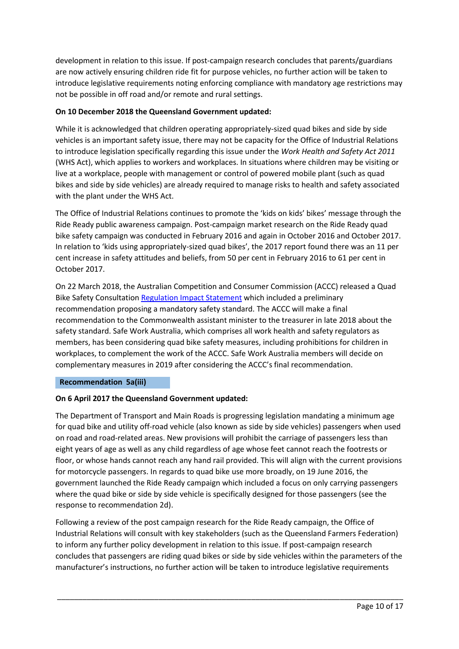development in relation to this issue. If post-campaign research concludes that parents/guardians are now actively ensuring children ride fit for purpose vehicles, no further action will be taken to introduce legislative requirements noting enforcing compliance with mandatory age restrictions may not be possible in off road and/or remote and rural settings.

# **On 10 December 2018 the Queensland Government updated:**

While it is acknowledged that children operating appropriately-sized quad bikes and side by side vehicles is an important safety issue, there may not be capacity for the Office of Industrial Relations to introduce legislation specifically regarding this issue under the *Work Health and Safety Act 2011*  (WHS Act), which applies to workers and workplaces. In situations where children may be visiting or live at a workplace, people with management or control of powered mobile plant (such as quad bikes and side by side vehicles) are already required to manage risks to health and safety associated with the plant under the WHS Act.

The Office of Industrial Relations continues to promote the 'kids on kids' bikes' message through the Ride Ready public awareness campaign. Post-campaign market research on the Ride Ready quad bike safety campaign was conducted in February 2016 and again in October 2016 and October 2017. In relation to 'kids using appropriately-sized quad bikes', the 2017 report found there was an 11 per cent increase in safety attitudes and beliefs, from 50 per cent in February 2016 to 61 per cent in October 2017.

On 22 March 2018, the Australian Competition and Consumer Commission (ACCC) released a Quad Bike Safety Consultation [Regulation Impact Statement](https://consultation.accc.gov.au/product-safety/quad-bike-safety-draft-regulation-impact-statement/) which included a preliminary recommendation proposing a mandatory safety standard. The ACCC will make a final recommendation to the Commonwealth assistant minister to the treasurer in late 2018 about the safety standard. Safe Work Australia, which comprises all work health and safety regulators as members, has been considering quad bike safety measures, including prohibitions for children in workplaces, to complement the work of the ACCC. Safe Work Australia members will decide on complementary measures in 2019 after considering the ACCC's final recommendation.

## **Recommendation 5a(iii)**

## **On 6 April 2017 the Queensland Government updated:**

The Department of Transport and Main Roads is progressing legislation mandating a minimum age for quad bike and utility off-road vehicle (also known as side by side vehicles) passengers when used on road and road-related areas. New provisions will prohibit the carriage of passengers less than eight years of age as well as any child regardless of age whose feet cannot reach the footrests or floor, or whose hands cannot reach any hand rail provided. This will align with the current provisions for motorcycle passengers. In regards to quad bike use more broadly, on 19 June 2016, the government launched the Ride Ready campaign which included a focus on only carrying passengers where the quad bike or side by side vehicle is specifically designed for those passengers (see the response to recommendation 2d).

Following a review of the post campaign research for the Ride Ready campaign, the Office of Industrial Relations will consult with key stakeholders (such as the Queensland Farmers Federation) to inform any further policy development in relation to this issue. If post-campaign research concludes that passengers are riding quad bikes or side by side vehicles within the parameters of the manufacturer's instructions, no further action will be taken to introduce legislative requirements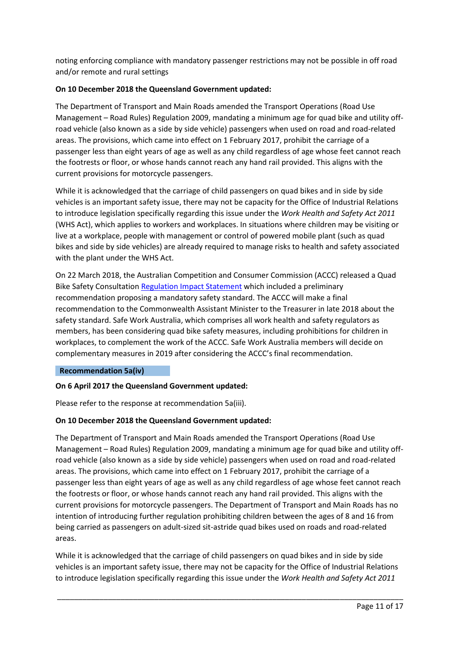noting enforcing compliance with mandatory passenger restrictions may not be possible in off road and/or remote and rural settings

# **On 10 December 2018 the Queensland Government updated:**

The Department of Transport and Main Roads amended the Transport Operations (Road Use Management – Road Rules) Regulation 2009, mandating a minimum age for quad bike and utility offroad vehicle (also known as a side by side vehicle) passengers when used on road and road-related areas. The provisions, which came into effect on 1 February 2017, prohibit the carriage of a passenger less than eight years of age as well as any child regardless of age whose feet cannot reach the footrests or floor, or whose hands cannot reach any hand rail provided. This aligns with the current provisions for motorcycle passengers.

While it is acknowledged that the carriage of child passengers on quad bikes and in side by side vehicles is an important safety issue, there may not be capacity for the Office of Industrial Relations to introduce legislation specifically regarding this issue under the *Work Health and Safety Act 2011*  (WHS Act), which applies to workers and workplaces. In situations where children may be visiting or live at a workplace, people with management or control of powered mobile plant (such as quad bikes and side by side vehicles) are already required to manage risks to health and safety associated with the plant under the WHS Act.

On 22 March 2018, the Australian Competition and Consumer Commission (ACCC) released a Quad Bike Safety Consultation [Regulation Impact Statement](https://consultation.accc.gov.au/product-safety/quad-bike-safety-draft-regulation-impact-statement/) which included a preliminary recommendation proposing a mandatory safety standard. The ACCC will make a final recommendation to the Commonwealth Assistant Minister to the Treasurer in late 2018 about the safety standard. Safe Work Australia, which comprises all work health and safety regulators as members, has been considering quad bike safety measures, including prohibitions for children in workplaces, to complement the work of the ACCC. Safe Work Australia members will decide on complementary measures in 2019 after considering the ACCC's final recommendation.

## **Recommendation 5a(iv)**

## **On 6 April 2017 the Queensland Government updated:**

Please refer to the response at recommendation 5a(iii).

## **On 10 December 2018 the Queensland Government updated:**

The Department of Transport and Main Roads amended the Transport Operations (Road Use Management – Road Rules) Regulation 2009, mandating a minimum age for quad bike and utility offroad vehicle (also known as a side by side vehicle) passengers when used on road and road-related areas. The provisions, which came into effect on 1 February 2017, prohibit the carriage of a passenger less than eight years of age as well as any child regardless of age whose feet cannot reach the footrests or floor, or whose hands cannot reach any hand rail provided. This aligns with the current provisions for motorcycle passengers. The Department of Transport and Main Roads has no intention of introducing further regulation prohibiting children between the ages of 8 and 16 from being carried as passengers on adult-sized sit-astride quad bikes used on roads and road-related areas.

While it is acknowledged that the carriage of child passengers on quad bikes and in side by side vehicles is an important safety issue, there may not be capacity for the Office of Industrial Relations to introduce legislation specifically regarding this issue under the *Work Health and Safety Act 2011*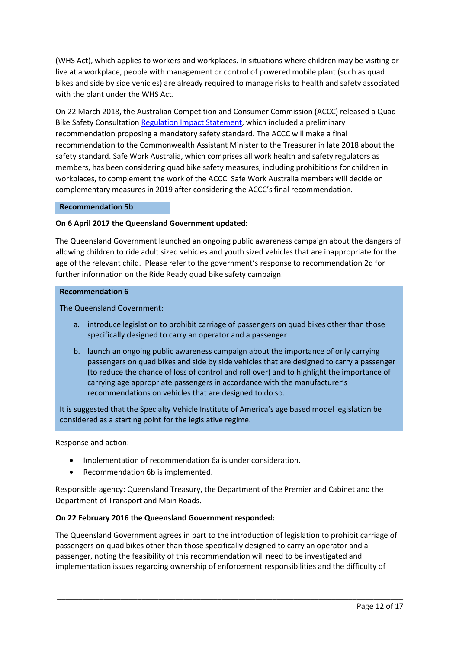(WHS Act), which applies to workers and workplaces. In situations where children may be visiting or live at a workplace, people with management or control of powered mobile plant (such as quad bikes and side by side vehicles) are already required to manage risks to health and safety associated with the plant under the WHS Act.

On 22 March 2018, the Australian Competition and Consumer Commission (ACCC) released a Quad Bike Safety Consultation [Regulation Impact Statement,](https://consultation.accc.gov.au/product-safety/quad-bike-safety-draft-regulation-impact-statement/) which included a preliminary recommendation proposing a mandatory safety standard. The ACCC will make a final recommendation to the Commonwealth Assistant Minister to the Treasurer in late 2018 about the safety standard. Safe Work Australia, which comprises all work health and safety regulators as members, has been considering quad bike safety measures, including prohibitions for children in workplaces, to complement the work of the ACCC. Safe Work Australia members will decide on complementary measures in 2019 after considering the ACCC's final recommendation.

### **Recommendation 5b**

### **On 6 April 2017 the Queensland Government updated:**

The Queensland Government launched an ongoing public awareness campaign about the dangers of allowing children to ride adult sized vehicles and youth sized vehicles that are inappropriate for the age of the relevant child. Please refer to the government's response to recommendation 2d for further information on the Ride Ready quad bike safety campaign.

### **Recommendation 6**

The Queensland Government:

- a. introduce legislation to prohibit carriage of passengers on quad bikes other than those specifically designed to carry an operator and a passenger
- b. launch an ongoing public awareness campaign about the importance of only carrying passengers on quad bikes and side by side vehicles that are designed to carry a passenger (to reduce the chance of loss of control and roll over) and to highlight the importance of carrying age appropriate passengers in accordance with the manufacturer's recommendations on vehicles that are designed to do so.

It is suggested that the Specialty Vehicle Institute of America's age based model legislation be considered as a starting point for the legislative regime.

Response and action:

- Implementation of recommendation 6a is under consideration.
- Recommendation 6b is implemented.

Responsible agency: Queensland Treasury, the Department of the Premier and Cabinet and the Department of Transport and Main Roads.

### **On 22 February 2016 the Queensland Government responded:**

The Queensland Government agrees in part to the introduction of legislation to prohibit carriage of passengers on quad bikes other than those specifically designed to carry an operator and a passenger, noting the feasibility of this recommendation will need to be investigated and implementation issues regarding ownership of enforcement responsibilities and the difficulty of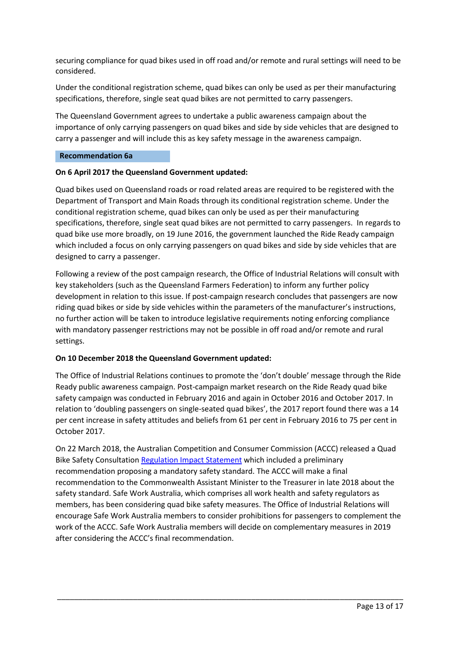securing compliance for quad bikes used in off road and/or remote and rural settings will need to be considered.

Under the conditional registration scheme, quad bikes can only be used as per their manufacturing specifications, therefore, single seat quad bikes are not permitted to carry passengers.

The Queensland Government agrees to undertake a public awareness campaign about the importance of only carrying passengers on quad bikes and side by side vehicles that are designed to carry a passenger and will include this as key safety message in the awareness campaign.

### **Recommendation 6a**

### **On 6 April 2017 the Queensland Government updated:**

Quad bikes used on Queensland roads or road related areas are required to be registered with the Department of Transport and Main Roads through its conditional registration scheme. Under the conditional registration scheme, quad bikes can only be used as per their manufacturing specifications, therefore, single seat quad bikes are not permitted to carry passengers. In regards to quad bike use more broadly, on 19 June 2016, the government launched the Ride Ready campaign which included a focus on only carrying passengers on quad bikes and side by side vehicles that are designed to carry a passenger.

Following a review of the post campaign research, the Office of Industrial Relations will consult with key stakeholders (such as the Queensland Farmers Federation) to inform any further policy development in relation to this issue. If post-campaign research concludes that passengers are now riding quad bikes or side by side vehicles within the parameters of the manufacturer's instructions, no further action will be taken to introduce legislative requirements noting enforcing compliance with mandatory passenger restrictions may not be possible in off road and/or remote and rural settings.

## **On 10 December 2018 the Queensland Government updated:**

The Office of Industrial Relations continues to promote the 'don't double' message through the Ride Ready public awareness campaign. Post-campaign market research on the Ride Ready quad bike safety campaign was conducted in February 2016 and again in October 2016 and October 2017. In relation to 'doubling passengers on single-seated quad bikes', the 2017 report found there was a 14 per cent increase in safety attitudes and beliefs from 61 per cent in February 2016 to 75 per cent in October 2017.

On 22 March 2018, the Australian Competition and Consumer Commission (ACCC) released a Quad Bike Safety Consultation [Regulation Impact Statement](https://consultation.accc.gov.au/product-safety/quad-bike-safety-draft-regulation-impact-statement/) which included a preliminary recommendation proposing a mandatory safety standard. The ACCC will make a final recommendation to the Commonwealth Assistant Minister to the Treasurer in late 2018 about the safety standard. Safe Work Australia, which comprises all work health and safety regulators as members, has been considering quad bike safety measures. The Office of Industrial Relations will encourage Safe Work Australia members to consider prohibitions for passengers to complement the work of the ACCC. Safe Work Australia members will decide on complementary measures in 2019 after considering the ACCC's final recommendation.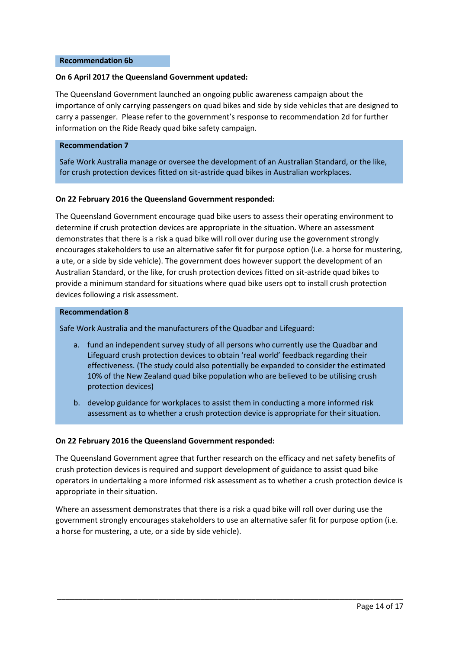#### **Recommendation 6b**

### **On 6 April 2017 the Queensland Government updated:**

The Queensland Government launched an ongoing public awareness campaign about the importance of only carrying passengers on quad bikes and side by side vehicles that are designed to carry a passenger. Please refer to the government's response to recommendation 2d for further information on the Ride Ready quad bike safety campaign.

#### **Recommendation 7**

Safe Work Australia manage or oversee the development of an Australian Standard, or the like, for crush protection devices fitted on sit-astride quad bikes in Australian workplaces.

### **On 22 February 2016 the Queensland Government responded:**

The Queensland Government encourage quad bike users to assess their operating environment to determine if crush protection devices are appropriate in the situation. Where an assessment demonstrates that there is a risk a quad bike will roll over during use the government strongly encourages stakeholders to use an alternative safer fit for purpose option (i.e. a horse for mustering, a ute, or a side by side vehicle). The government does however support the development of an Australian Standard, or the like, for crush protection devices fitted on sit-astride quad bikes to provide a minimum standard for situations where quad bike users opt to install crush protection devices following a risk assessment.

#### **Recommendation 8**

Safe Work Australia and the manufacturers of the Quadbar and Lifeguard:

- a. fund an independent survey study of all persons who currently use the Quadbar and Lifeguard crush protection devices to obtain 'real world' feedback regarding their effectiveness. (The study could also potentially be expanded to consider the estimated 10% of the New Zealand quad bike population who are believed to be utilising crush protection devices)
- b. develop guidance for workplaces to assist them in conducting a more informed risk assessment as to whether a crush protection device is appropriate for their situation.

### **On 22 February 2016 the Queensland Government responded:**

The Queensland Government agree that further research on the efficacy and net safety benefits of crush protection devices is required and support development of guidance to assist quad bike operators in undertaking a more informed risk assessment as to whether a crush protection device is appropriate in their situation.

Where an assessment demonstrates that there is a risk a quad bike will roll over during use the government strongly encourages stakeholders to use an alternative safer fit for purpose option (i.e. a horse for mustering, a ute, or a side by side vehicle).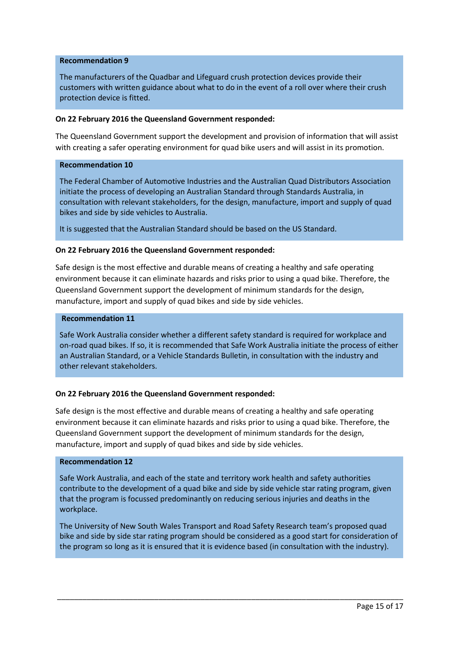### **Recommendation 9**

The manufacturers of the Quadbar and Lifeguard crush protection devices provide their customers with written guidance about what to do in the event of a roll over where their crush protection device is fitted.

#### **On 22 February 2016 the Queensland Government responded:**

The Queensland Government support the development and provision of information that will assist with creating a safer operating environment for quad bike users and will assist in its promotion.

### **Recommendation 10**

The Federal Chamber of Automotive Industries and the Australian Quad Distributors Association initiate the process of developing an Australian Standard through Standards Australia, in consultation with relevant stakeholders, for the design, manufacture, import and supply of quad bikes and side by side vehicles to Australia.

It is suggested that the Australian Standard should be based on the US Standard.

### **On 22 February 2016 the Queensland Government responded:**

Safe design is the most effective and durable means of creating a healthy and safe operating environment because it can eliminate hazards and risks prior to using a quad bike. Therefore, the Queensland Government support the development of minimum standards for the design, manufacture, import and supply of quad bikes and side by side vehicles.

#### **Recommendation 11**

Safe Work Australia consider whether a different safety standard is required for workplace and on-road quad bikes. If so, it is recommended that Safe Work Australia initiate the process of either an Australian Standard, or a Vehicle Standards Bulletin, in consultation with the industry and other relevant stakeholders.

### **On 22 February 2016 the Queensland Government responded:**

Safe design is the most effective and durable means of creating a healthy and safe operating environment because it can eliminate hazards and risks prior to using a quad bike. Therefore, the Queensland Government support the development of minimum standards for the design, manufacture, import and supply of quad bikes and side by side vehicles.

### **Recommendation 12**

Safe Work Australia, and each of the state and territory work health and safety authorities contribute to the development of a quad bike and side by side vehicle star rating program, given that the program is focussed predominantly on reducing serious injuries and deaths in the workplace.

The University of New South Wales Transport and Road Safety Research team's proposed quad bike and side by side star rating program should be considered as a good start for consideration of the program so long as it is ensured that it is evidence based (in consultation with the industry).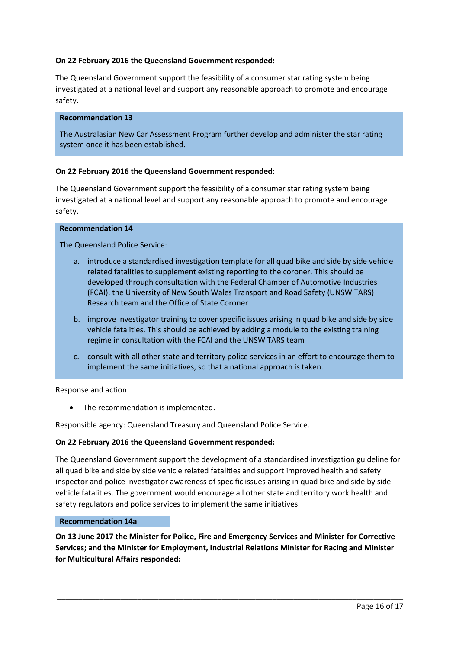### **On 22 February 2016 the Queensland Government responded:**

The Queensland Government support the feasibility of a consumer star rating system being investigated at a national level and support any reasonable approach to promote and encourage safety.

#### **Recommendation 13**

The Australasian New Car Assessment Program further develop and administer the star rating system once it has been established.

### **On 22 February 2016 the Queensland Government responded:**

The Queensland Government support the feasibility of a consumer star rating system being investigated at a national level and support any reasonable approach to promote and encourage safety.

#### **Recommendation 14**

The Queensland Police Service:

- a. introduce a standardised investigation template for all quad bike and side by side vehicle related fatalities to supplement existing reporting to the coroner. This should be developed through consultation with the Federal Chamber of Automotive Industries (FCAI), the University of New South Wales Transport and Road Safety (UNSW TARS) Research team and the Office of State Coroner
- b. improve investigator training to cover specific issues arising in quad bike and side by side vehicle fatalities. This should be achieved by adding a module to the existing training regime in consultation with the FCAI and the UNSW TARS team
- c. consult with all other state and territory police services in an effort to encourage them to implement the same initiatives, so that a national approach is taken.

Response and action:

• The recommendation is implemented.

Responsible agency: Queensland Treasury and Queensland Police Service.

### **On 22 February 2016 the Queensland Government responded:**

The Queensland Government support the development of a standardised investigation guideline for all quad bike and side by side vehicle related fatalities and support improved health and safety inspector and police investigator awareness of specific issues arising in quad bike and side by side vehicle fatalities. The government would encourage all other state and territory work health and safety regulators and police services to implement the same initiatives.

### **Recommendation 14a**

**On 13 June 2017 the Minister for Police, Fire and Emergency Services and Minister for Corrective Services; and the Minister for Employment, Industrial Relations Minister for Racing and Minister for Multicultural Affairs responded:**